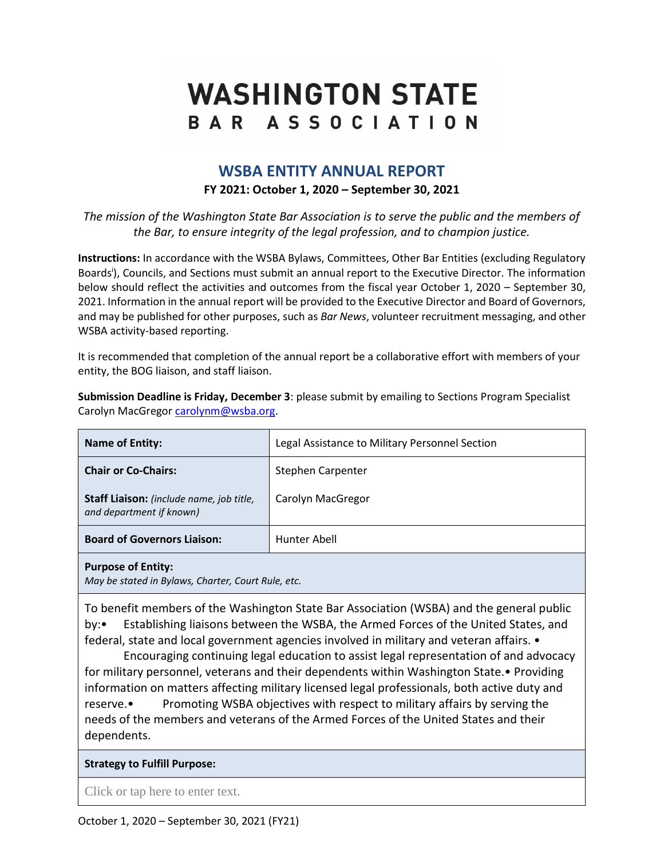# **WASHINGTON STATE** BAR ASSOCIATION

# **WSBA ENTITY ANNUAL REPORT**

## **FY 2021: October 1, 2020 – September 30, 2021**

*The mission of the Washington State Bar Association is to serve the public and the members of the Bar, to ensure integrity of the legal profession, and to champion justice.*

**Instructions:** In accordance with the WSBA Bylaws, Committees, Other Bar Entities (excluding Regulatory Boards<sup>i</sup>), Councils, and Sections must submit an annual report to the Executive Director. The information below should reflect the activities and outcomes from the fiscal year October 1, 2020 – September 30, 2021. Information in the annual report will be provided to the Executive Director and Board of Governors, and may be published for other purposes, such as *Bar News*, volunteer recruitment messaging, and other WSBA activity-based reporting.

It is recommended that completion of the annual report be a collaborative effort with members of your entity, the BOG liaison, and staff liaison.

**Submission Deadline is Friday, December 3**: please submit by emailing to Sections Program Specialist Carolyn MacGregor carolynm@wsba.org

| <b>Name of Entity:</b>                                               | Legal Assistance to Military Personnel Section |
|----------------------------------------------------------------------|------------------------------------------------|
| <b>Chair or Co-Chairs:</b>                                           | Stephen Carpenter                              |
| Staff Liaison: (include name, job title,<br>and department if known) | Carolyn MacGregor                              |
| <b>Board of Governors Liaison:</b>                                   | Hunter Abell                                   |
|                                                                      |                                                |

**Purpose of Entity:** 

*May be stated in Bylaws, Charter, Court Rule, etc.*

To benefit members of the Washington State Bar Association (WSBA) and the general public by:• Establishing liaisons between the WSBA, the Armed Forces of the United States, and federal, state and local government agencies involved in military and veteran affairs. •

Encouraging continuing legal education to assist legal representation of and advocacy for military personnel, veterans and their dependents within Washington State.• Providing information on matters affecting military licensed legal professionals, both active duty and reserve.• Promoting WSBA objectives with respect to military affairs by serving the needs of the members and veterans of the Armed Forces of the United States and their dependents.

### **Strategy to Fulfill Purpose:**

Click or tap here to enter text.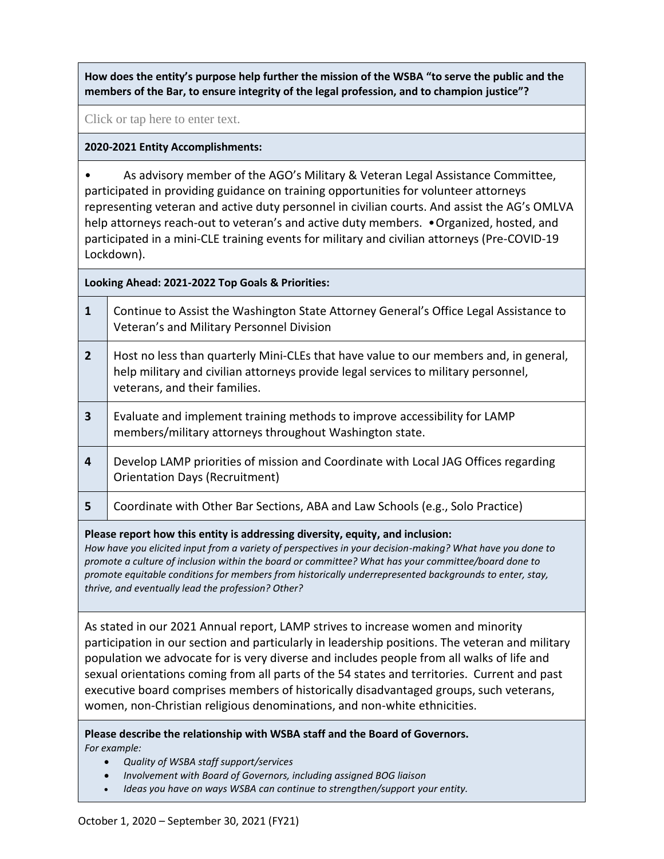**How does the entity's purpose help further the mission of the WSBA "to serve the public and the members of the Bar, to ensure integrity of the legal profession, and to champion justice"?**

Click or tap here to enter text.

### **2020-2021 Entity Accomplishments:**

• As advisory member of the AGO's Military & Veteran Legal Assistance Committee, participated in providing guidance on training opportunities for volunteer attorneys representing veteran and active duty personnel in civilian courts. And assist the AG's OMLVA help attorneys reach-out to veteran's and active duty members. • Organized, hosted, and participated in a mini-CLE training events for military and civilian attorneys (Pre-COVID-19 Lockdown).

**Looking Ahead: 2021-2022 Top Goals & Priorities:**

- **1** Continue to Assist the Washington State Attorney General's Office Legal Assistance to Veteran's and Military Personnel Division
- **2** | Host no less than quarterly Mini-CLEs that have value to our members and, in general, help military and civilian attorneys provide legal services to military personnel, veterans, and their families.
- **3** Evaluate and implement training methods to improve accessibility for LAMP members/military attorneys throughout Washington state.
- **4** Develop LAMP priorities of mission and Coordinate with Local JAG Offices regarding Orientation Days (Recruitment)
- **5** Coordinate with Other Bar Sections, ABA and Law Schools (e.g., Solo Practice)

**Please report how this entity is addressing diversity, equity, and inclusion:**

*How have you elicited input from a variety of perspectives in your decision-making? What have you done to promote a culture of inclusion within the board or committee? What has your committee/board done to promote equitable conditions for members from historically underrepresented backgrounds to enter, stay, thrive, and eventually lead the profession? Other?*

As stated in our 2021 Annual report, LAMP strives to increase women and minority participation in our section and particularly in leadership positions. The veteran and military population we advocate for is very diverse and includes people from all walks of life and sexual orientations coming from all parts of the 54 states and territories. Current and past executive board comprises members of historically disadvantaged groups, such veterans, women, non-Christian religious denominations, and non-white ethnicities.

**Please describe the relationship with WSBA staff and the Board of Governors.**  *For example:* 

- *Quality of WSBA staff support/services*
- *Involvement with Board of Governors, including assigned BOG liaison*
- *Ideas you have on ways WSBA can continue to strengthen/support your entity.*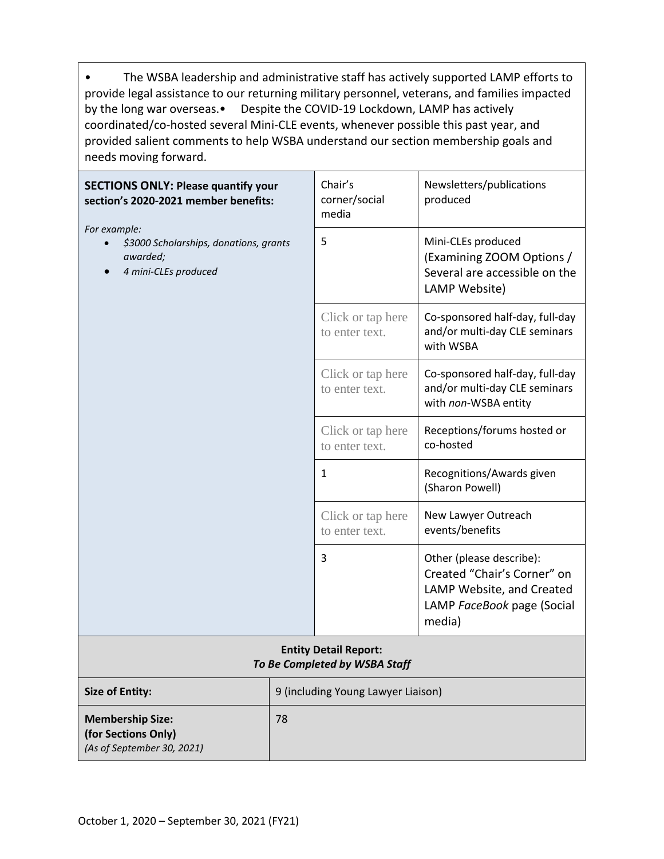• The WSBA leadership and administrative staff has actively supported LAMP efforts to provide legal assistance to our returning military personnel, veterans, and families impacted by the long war overseas.• Despite the COVID-19 Lockdown, LAMP has actively coordinated/co-hosted several Mini-CLE events, whenever possible this past year, and provided salient comments to help WSBA understand our section membership goals and needs moving forward.

| <b>SECTIONS ONLY: Please quantify your</b><br>section's 2020-2021 member benefits:         |                                    | Chair's<br>corner/social<br>media                             | Newsletters/publications<br>produced                                                                                         |
|--------------------------------------------------------------------------------------------|------------------------------------|---------------------------------------------------------------|------------------------------------------------------------------------------------------------------------------------------|
| For example:<br>\$3000 Scholarships, donations, grants<br>awarded;<br>4 mini-CLEs produced |                                    | 5                                                             | Mini-CLEs produced<br>(Examining ZOOM Options /<br>Several are accessible on the<br>LAMP Website)                            |
|                                                                                            |                                    | Click or tap here<br>to enter text.                           | Co-sponsored half-day, full-day<br>and/or multi-day CLE seminars<br>with WSBA                                                |
|                                                                                            |                                    | Click or tap here<br>to enter text.                           | Co-sponsored half-day, full-day<br>and/or multi-day CLE seminars<br>with non-WSBA entity                                     |
|                                                                                            |                                    | Click or tap here<br>to enter text.                           | Receptions/forums hosted or<br>co-hosted                                                                                     |
|                                                                                            |                                    | $\mathbf{1}$                                                  | Recognitions/Awards given<br>(Sharon Powell)                                                                                 |
|                                                                                            |                                    | Click or tap here<br>to enter text.                           | New Lawyer Outreach<br>events/benefits                                                                                       |
|                                                                                            |                                    | 3                                                             | Other (please describe):<br>Created "Chair's Corner" on<br>LAMP Website, and Created<br>LAMP FaceBook page (Social<br>media) |
|                                                                                            |                                    | <b>Entity Detail Report:</b><br>To Be Completed by WSBA Staff |                                                                                                                              |
| <b>Size of Entity:</b>                                                                     | 9 (including Young Lawyer Liaison) |                                                               |                                                                                                                              |
| <b>Membership Size:</b><br>(for Sections Only)                                             | 78                                 |                                                               |                                                                                                                              |

*(As of September 30, 2021)*